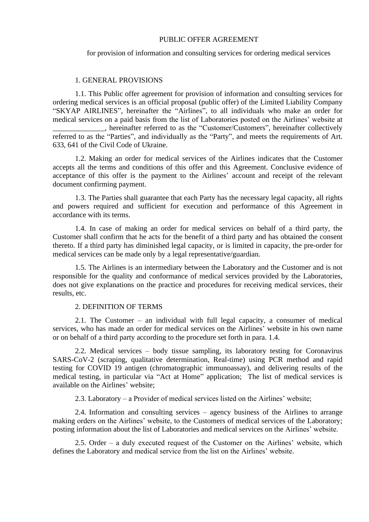## PUBLIC OFFER AGREEMENT

### for provision of information and consulting services for ordering medical services

### 1. GENERAL PROVISIONS

1.1. This Public offer agreement for provision of information and consulting services for ordering medical services is an official proposal (public offer) of the Limited Liability Company "SKYAP AIRLINES", hereinafter the "Airlines", to all individuals who make an order for medical services on a paid basis from the list of Laboratories posted on the Airlines' website at

\_\_\_\_\_\_\_\_\_\_\_\_\_\_, hereinafter referred to as the "Customer/Customers", hereinafter collectively referred to as the "Parties", and individually as the "Party", and meets the requirements of Art. 633, 641 of the Civil Code of Ukraine.

1.2. Making an order for medical services of the Airlines indicates that the Customer accepts all the terms and conditions of this offer and this Agreement. Conclusive evidence of acceptance of this offer is the payment to the Airlines' account and receipt of the relevant document confirming payment.

1.3. The Parties shall guarantee that each Party has the necessary legal capacity, all rights and powers required and sufficient for execution and performance of this Agreement in accordance with its terms.

1.4. In case of making an order for medical services on behalf of a third party, the Customer shall confirm that he acts for the benefit of a third party and has obtained the consent thereto. If a third party has diminished legal capacity, or is limited in capacity, the pre-order for medical services can be made only by a legal representative/guardian.

1.5. The Airlines is an intermediary between the Laboratory and the Customer and is not responsible for the quality and conformance of medical services provided by the Laboratories, does not give explanations on the practice and procedures for receiving medical services, their results, etc.

### 2. DEFINITION OF TERMS

2.1. The Customer – an individual with full legal capacity, a consumer of medical services, who has made an order for medical services on the Airlines' website in his own name or on behalf of a third party according to the procedure set forth in para. 1.4.

2.2. Medical services – body tissue sampling, its laboratory testing for Coronavirus SARS-CoV-2 (scraping, qualitative determination, Real-time) using PCR method and rapid testing for COVID 19 antigen (chromatographic immunoassay), and delivering results of the medical testing, in particular via "Act at Home" application; The list of medical services is available on the Airlines' website;

2.3. Laboratory – a Provider of medical services listed on the Airlines' website;

2.4. Information and consulting services – agency business of the Airlines to arrange making orders on the Airlines' website, to the Customers of medical services of the Laboratory; posting information about the list of Laboratories and medical services on the Airlines' website.

2.5. Order – a duly executed request of the Customer on the Airlines' website, which defines the Laboratory and medical service from the list on the Airlines' website.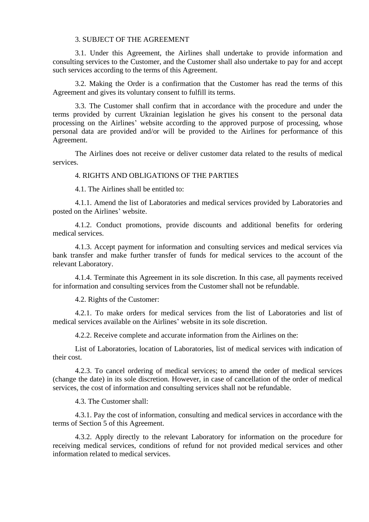### 3. SUBJECT OF THE AGREEMENT

3.1. Under this Agreement, the Airlines shall undertake to provide information and consulting services to the Customer, and the Customer shall also undertake to pay for and accept such services according to the terms of this Agreement.

3.2. Making the Order is a confirmation that the Customer has read the terms of this Agreement and gives its voluntary consent to fulfill its terms.

3.3. The Customer shall confirm that in accordance with the procedure and under the terms provided by current Ukrainian legislation he gives his consent to the personal data processing on the Airlines' website according to the approved purpose of processing, whose personal data are provided and/or will be provided to the Airlines for performance of this Agreement.

The Airlines does not receive or deliver customer data related to the results of medical services.

## 4. RIGHTS AND OBLIGATIONS OF THE PARTIES

4.1. The Airlines shall be entitled to:

4.1.1. Amend the list of Laboratories and medical services provided by Laboratories and posted on the Airlines' website.

4.1.2. Conduct promotions, provide discounts and additional benefits for ordering medical services.

4.1.3. Accept payment for information and consulting services and medical services via bank transfer and make further transfer of funds for medical services to the account of the relevant Laboratory.

4.1.4. Terminate this Agreement in its sole discretion. In this case, all payments received for information and consulting services from the Customer shall not be refundable.

4.2. Rights of the Customer:

4.2.1. To make orders for medical services from the list of Laboratories and list of medical services available on the Airlines' website in its sole discretion.

4.2.2. Receive complete and accurate information from the Airlines on the:

List of Laboratories, location of Laboratories, list of medical services with indication of their cost.

4.2.3. To cancel ordering of medical services; to amend the order of medical services (change the date) in its sole discretion. However, in case of cancellation of the order of medical services, the cost of information and consulting services shall not be refundable.

4.3. The Customer shall:

4.3.1. Pay the cost of information, consulting and medical services in accordance with the terms of Section 5 of this Agreement.

4.3.2. Apply directly to the relevant Laboratory for information on the procedure for receiving medical services, conditions of refund for not provided medical services and other information related to medical services.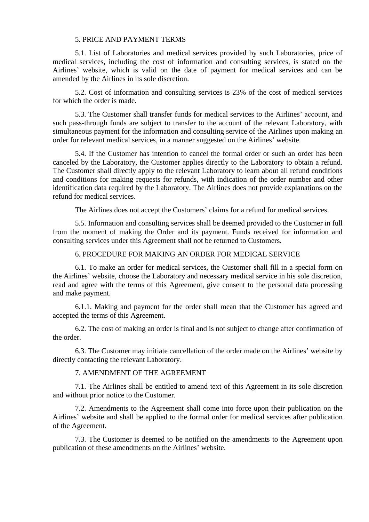## 5. PRICE AND PAYMENT TERMS

5.1. List of Laboratories and medical services provided by such Laboratories, price of medical services, including the cost of information and consulting services, is stated on the Airlines' website, which is valid on the date of payment for medical services and can be amended by the Airlines in its sole discretion.

5.2. Cost of information and consulting services is 23% of the cost of medical services for which the order is made.

5.3. The Customer shall transfer funds for medical services to the Airlines' account, and such pass-through funds are subject to transfer to the account of the relevant Laboratory, with simultaneous payment for the information and consulting service of the Airlines upon making an order for relevant medical services, in a manner suggested on the Airlines' website.

5.4. If the Customer has intention to cancel the formal order or such an order has been canceled by the Laboratory, the Customer applies directly to the Laboratory to obtain a refund. The Customer shall directly apply to the relevant Laboratory to learn about all refund conditions and conditions for making requests for refunds, with indication of the order number and other identification data required by the Laboratory. The Airlines does not provide explanations on the refund for medical services.

The Airlines does not accept the Customers' claims for a refund for medical services.

5.5. Information and consulting services shall be deemed provided to the Customer in full from the moment of making the Order and its payment. Funds received for information and consulting services under this Agreement shall not be returned to Customers.

## 6. PROCEDURE FOR MAKING AN ORDER FOR MEDICAL SERVICE

6.1. To make an order for medical services, the Customer shall fill in a special form on the Airlines' website, choose the Laboratory and necessary medical service in his sole discretion, read and agree with the terms of this Agreement, give consent to the personal data processing and make payment.

6.1.1. Making and payment for the order shall mean that the Customer has agreed and accepted the terms of this Agreement.

6.2. The cost of making an order is final and is not subject to change after confirmation of the order.

6.3. The Customer may initiate cancellation of the order made on the Airlines' website by directly contacting the relevant Laboratory.

# 7. AMENDMENT OF THE AGREEMENT

7.1. The Airlines shall be entitled to amend text of this Agreement in its sole discretion and without prior notice to the Customer.

7.2. Amendments to the Agreement shall come into force upon their publication on the Airlines' website and shall be applied to the formal order for medical services after publication of the Agreement.

7.3. The Customer is deemed to be notified on the amendments to the Agreement upon publication of these amendments on the Airlines' website.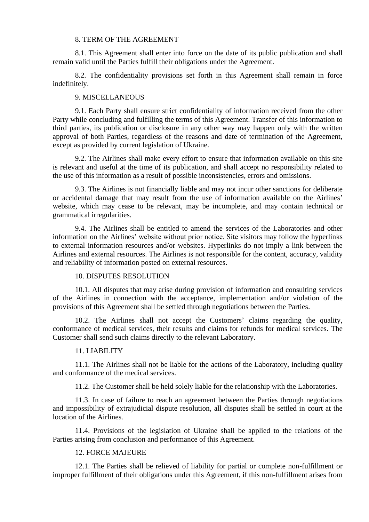### 8. TERM OF THE AGREEMENT

8.1. This Agreement shall enter into force on the date of its public publication and shall remain valid until the Parties fulfill their obligations under the Agreement.

8.2. The confidentiality provisions set forth in this Agreement shall remain in force indefinitely.

### 9. MISCELLANEOUS

9.1. Each Party shall ensure strict confidentiality of information received from the other Party while concluding and fulfilling the terms of this Agreement. Transfer of this information to third parties, its publication or disclosure in any other way may happen only with the written approval of both Parties, regardless of the reasons and date of termination of the Agreement, except as provided by current legislation of Ukraine.

9.2. The Airlines shall make every effort to ensure that information available on this site is relevant and useful at the time of its publication, and shall accept no responsibility related to the use of this information as a result of possible inconsistencies, errors and omissions.

9.3. The Airlines is not financially liable and may not incur other sanctions for deliberate or accidental damage that may result from the use of information available on the Airlines' website, which may cease to be relevant, may be incomplete, and may contain technical or grammatical irregularities.

9.4. The Airlines shall be entitled to amend the services of the Laboratories and other information on the Airlines' website without prior notice. Site visitors may follow the hyperlinks to external information resources and/or websites. Hyperlinks do not imply a link between the Airlines and external resources. The Airlines is not responsible for the content, accuracy, validity and reliability of information posted on external resources.

# 10. DISPUTES RESOLUTION

10.1. All disputes that may arise during provision of information and consulting services of the Airlines in connection with the acceptance, implementation and/or violation of the provisions of this Agreement shall be settled through negotiations between the Parties.

10.2. The Airlines shall not accept the Customers' claims regarding the quality, conformance of medical services, their results and claims for refunds for medical services. The Customer shall send such claims directly to the relevant Laboratory.

#### 11. LIABILITY

11.1. The Airlines shall not be liable for the actions of the Laboratory, including quality and conformance of the medical services.

11.2. The Customer shall be held solely liable for the relationship with the Laboratories.

11.3. In case of failure to reach an agreement between the Parties through negotiations and impossibility of extrajudicial dispute resolution, all disputes shall be settled in court at the location of the Airlines.

11.4. Provisions of the legislation of Ukraine shall be applied to the relations of the Parties arising from conclusion and performance of this Agreement.

## 12. FORCE MAJEURE

12.1. The Parties shall be relieved of liability for partial or complete non-fulfillment or improper fulfillment of their obligations under this Agreement, if this non-fulfillment arises from